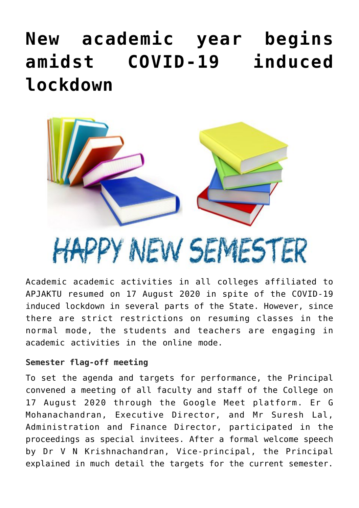## **[New academic year begins](https://news.vidyaacademy.ac.in/2020/08/19/new-academic-year-begins-amidst-the-covid-19-induced-lockdown/) [amidst COVID-19 induced](https://news.vidyaacademy.ac.in/2020/08/19/new-academic-year-begins-amidst-the-covid-19-induced-lockdown/) [lockdown](https://news.vidyaacademy.ac.in/2020/08/19/new-academic-year-begins-amidst-the-covid-19-induced-lockdown/)**



HAPPY NEW SEMESTER Academic academic activities in all colleges affiliated to

APJAKTU resumed on 17 August 2020 in spite of the COVID-19 induced lockdown in several parts of the State. However, since there are strict restrictions on resuming classes in the normal mode, the students and teachers are engaging in academic activities in the online mode.

## **Semester flag-off meeting**

To set the agenda and targets for performance, the Principal convened a meeting of all faculty and staff of the College on 17 August 2020 through the Google Meet platform. Er G Mohanachandran, Executive Director, and Mr Suresh Lal, Administration and Finance Director, participated in the proceedings as special invitees. After a formal welcome speech by Dr V N Krishnachandran, Vice-principal, the Principal explained in much detail the targets for the current semester.